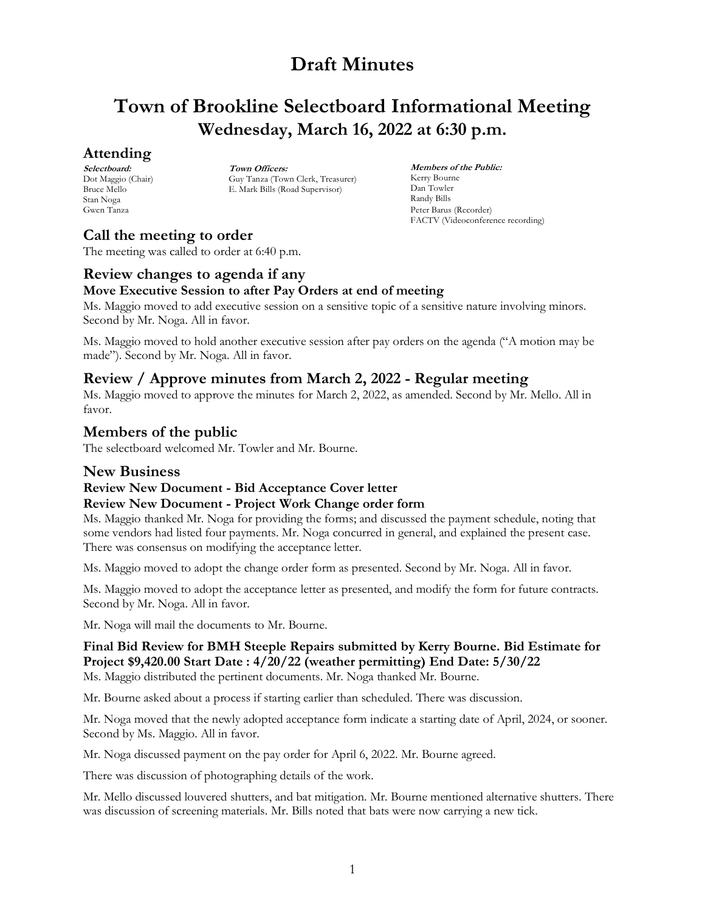# **Town of Brookline Selectboard Informational Meeting Wednesday, March 16, 2022 at 6:30 p.m.**

## **Attending**

**Selectboard:** Dot Maggio (Chair) Bruce Mello Stan Noga Gwen Tanza

**Town Officers:** Guy Tanza (Town Clerk, Treasurer) E. Mark Bills (Road Supervisor)

**Members of the Public:** Kerry Bourne Dan Towler Randy Bills Peter Barus (Recorder) FACTV (Videoconference recording)

# **Call the meeting to order**

The meeting was called to order at 6:40 p.m.

# **Review changes to agenda if any**

## **Move Executive Session to after Pay Orders at end of meeting**

Ms. Maggio moved to add executive session on a sensitive topic of a sensitive nature involving minors. Second by Mr. Noga. All in favor.

Ms. Maggio moved to hold another executive session after pay orders on the agenda ("A motion may be made"). Second by Mr. Noga. All in favor.

## **Review / Approve minutes from March 2, 2022 - Regular meeting**

Ms. Maggio moved to approve the minutes for March 2, 2022, as amended. Second by Mr. Mello. All in favor.

## **Members of the public**

The selectboard welcomed Mr. Towler and Mr. Bourne.

### **New Business**

### **Review New Document - Bid Acceptance Cover letter**

### **Review New Document - Project Work Change order form**

Ms. Maggio thanked Mr. Noga for providing the forms; and discussed the payment schedule, noting that some vendors had listed four payments. Mr. Noga concurred in general, and explained the present case. There was consensus on modifying the acceptance letter.

Ms. Maggio moved to adopt the change order form as presented. Second by Mr. Noga. All in favor.

Ms. Maggio moved to adopt the acceptance letter as presented, and modify the form for future contracts. Second by Mr. Noga. All in favor.

Mr. Noga will mail the documents to Mr. Bourne.

## **Final Bid Review for BMH Steeple Repairs submitted by Kerry Bourne. Bid Estimate for Project \$9,420.00 Start Date : 4/20/22 (weather permitting) End Date: 5/30/22**

Ms. Maggio distributed the pertinent documents. Mr. Noga thanked Mr. Bourne.

Mr. Bourne asked about a process if starting earlier than scheduled. There was discussion.

Mr. Noga moved that the newly adopted acceptance form indicate a starting date of April, 2024, or sooner. Second by Ms. Maggio. All in favor.

Mr. Noga discussed payment on the pay order for April 6, 2022. Mr. Bourne agreed.

There was discussion of photographing details of the work.

Mr. Mello discussed louvered shutters, and bat mitigation. Mr. Bourne mentioned alternative shutters. There was discussion of screening materials. Mr. Bills noted that bats were now carrying a new tick.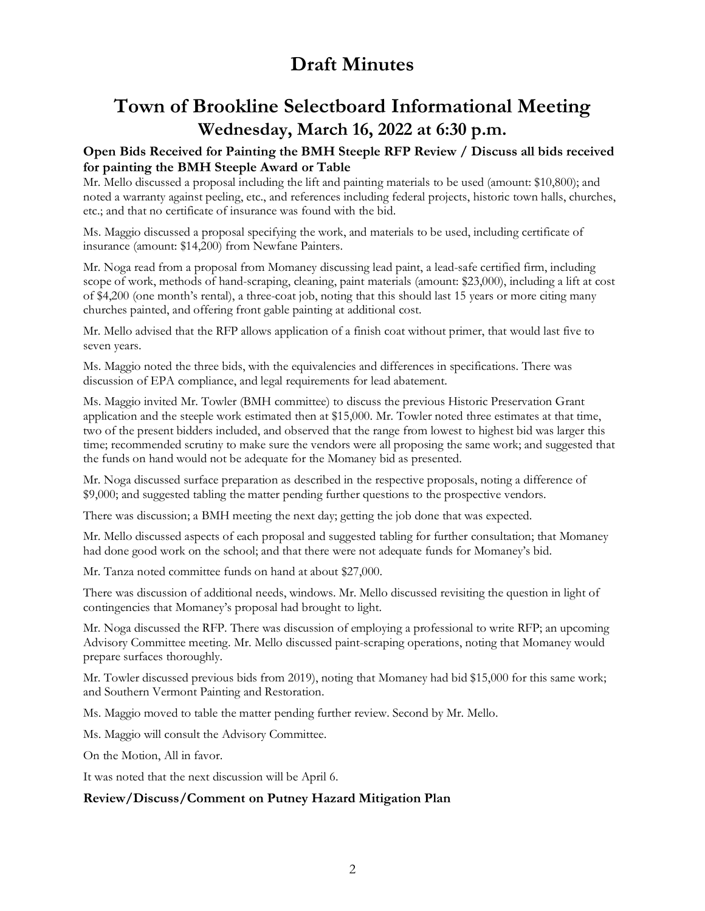# **Town of Brookline Selectboard Informational Meeting Wednesday, March 16, 2022 at 6:30 p.m.**

### **Open Bids Received for Painting the BMH Steeple RFP Review / Discuss all bids received for painting the BMH Steeple Award or Table**

Mr. Mello discussed a proposal including the lift and painting materials to be used (amount: \$10,800); and noted a warranty against peeling, etc., and references including federal projects, historic town halls, churches, etc.; and that no certificate of insurance was found with the bid.

Ms. Maggio discussed a proposal specifying the work, and materials to be used, including certificate of insurance (amount: \$14,200) from Newfane Painters.

Mr. Noga read from a proposal from Momaney discussing lead paint, a lead-safe certified firm, including scope of work, methods of hand-scraping, cleaning, paint materials (amount: \$23,000), including a lift at cost of \$4,200 (one month's rental), a three-coat job, noting that this should last 15 years or more citing many churches painted, and offering front gable painting at additional cost.

Mr. Mello advised that the RFP allows application of a finish coat without primer, that would last five to seven years.

Ms. Maggio noted the three bids, with the equivalencies and differences in specifications. There was discussion of EPA compliance, and legal requirements for lead abatement.

Ms. Maggio invited Mr. Towler (BMH committee) to discuss the previous Historic Preservation Grant application and the steeple work estimated then at \$15,000. Mr. Towler noted three estimates at that time, two of the present bidders included, and observed that the range from lowest to highest bid was larger this time; recommended scrutiny to make sure the vendors were all proposing the same work; and suggested that the funds on hand would not be adequate for the Momaney bid as presented.

Mr. Noga discussed surface preparation as described in the respective proposals, noting a difference of \$9,000; and suggested tabling the matter pending further questions to the prospective vendors.

There was discussion; a BMH meeting the next day; getting the job done that was expected.

Mr. Mello discussed aspects of each proposal and suggested tabling for further consultation; that Momaney had done good work on the school; and that there were not adequate funds for Momaney's bid.

Mr. Tanza noted committee funds on hand at about \$27,000.

There was discussion of additional needs, windows. Mr. Mello discussed revisiting the question in light of contingencies that Momaney's proposal had brought to light.

Mr. Noga discussed the RFP. There was discussion of employing a professional to write RFP; an upcoming Advisory Committee meeting. Mr. Mello discussed paint-scraping operations, noting that Momaney would prepare surfaces thoroughly.

Mr. Towler discussed previous bids from 2019), noting that Momaney had bid \$15,000 for this same work; and Southern Vermont Painting and Restoration.

Ms. Maggio moved to table the matter pending further review. Second by Mr. Mello.

Ms. Maggio will consult the Advisory Committee.

On the Motion, All in favor.

It was noted that the next discussion will be April 6.

### **Review/Discuss/Comment on Putney Hazard Mitigation Plan**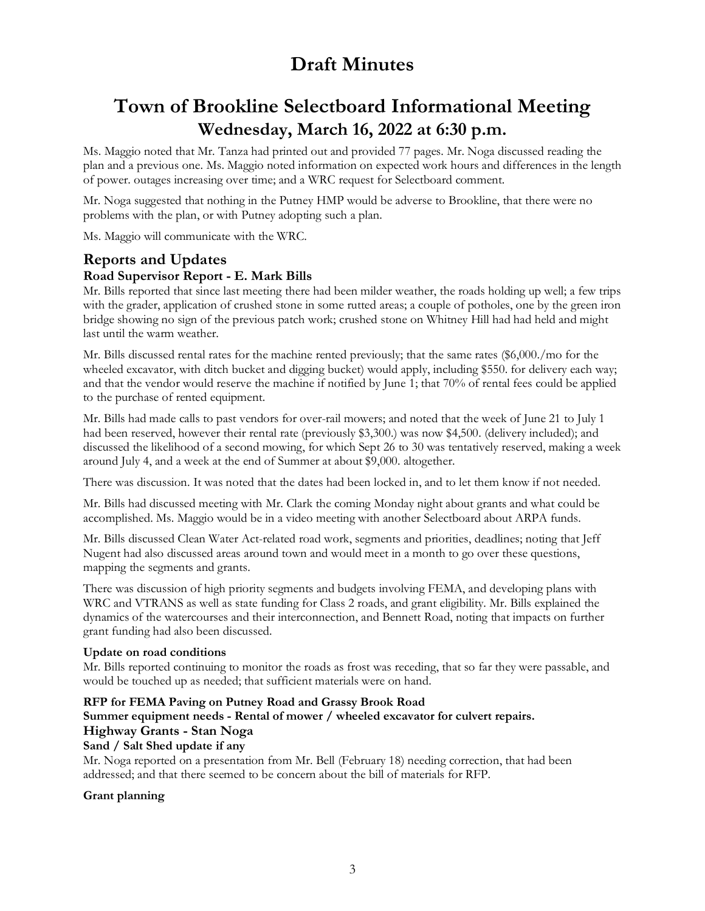# **Town of Brookline Selectboard Informational Meeting Wednesday, March 16, 2022 at 6:30 p.m.**

Ms. Maggio noted that Mr. Tanza had printed out and provided 77 pages. Mr. Noga discussed reading the plan and a previous one. Ms. Maggio noted information on expected work hours and differences in the length of power. outages increasing over time; and a WRC request for Selectboard comment.

Mr. Noga suggested that nothing in the Putney HMP would be adverse to Brookline, that there were no problems with the plan, or with Putney adopting such a plan.

Ms. Maggio will communicate with the WRC.

## **Reports and Updates**

### **Road Supervisor Report - E. Mark Bills**

Mr. Bills reported that since last meeting there had been milder weather, the roads holding up well; a few trips with the grader, application of crushed stone in some rutted areas; a couple of potholes, one by the green iron bridge showing no sign of the previous patch work; crushed stone on Whitney Hill had had held and might last until the warm weather.

Mr. Bills discussed rental rates for the machine rented previously; that the same rates (\$6,000./mo for the wheeled excavator, with ditch bucket and digging bucket) would apply, including \$550. for delivery each way; and that the vendor would reserve the machine if notified by June 1; that 70% of rental fees could be applied to the purchase of rented equipment.

Mr. Bills had made calls to past vendors for over-rail mowers; and noted that the week of June 21 to July 1 had been reserved, however their rental rate (previously \$3,300.) was now \$4,500. (delivery included); and discussed the likelihood of a second mowing, for which Sept 26 to 30 was tentatively reserved, making a week around July 4, and a week at the end of Summer at about \$9,000. altogether.

There was discussion. It was noted that the dates had been locked in, and to let them know if not needed.

Mr. Bills had discussed meeting with Mr. Clark the coming Monday night about grants and what could be accomplished. Ms. Maggio would be in a video meeting with another Selectboard about ARPA funds.

Mr. Bills discussed Clean Water Act-related road work, segments and priorities, deadlines; noting that Jeff Nugent had also discussed areas around town and would meet in a month to go over these questions, mapping the segments and grants.

There was discussion of high priority segments and budgets involving FEMA, and developing plans with WRC and VTRANS as well as state funding for Class 2 roads, and grant eligibility. Mr. Bills explained the dynamics of the watercourses and their interconnection, and Bennett Road, noting that impacts on further grant funding had also been discussed.

### **Update on road conditions**

Mr. Bills reported continuing to monitor the roads as frost was receding, that so far they were passable, and would be touched up as needed; that sufficient materials were on hand.

### **RFP for FEMA Paving on Putney Road and Grassy Brook Road**

# **Summer equipment needs - Rental of mower / wheeled excavator for culvert repairs.**

#### **Highway Grants - Stan Noga Sand / Salt Shed update if any**

Mr. Noga reported on a presentation from Mr. Bell (February 18) needing correction, that had been addressed; and that there seemed to be concern about the bill of materials for RFP.

### **Grant planning**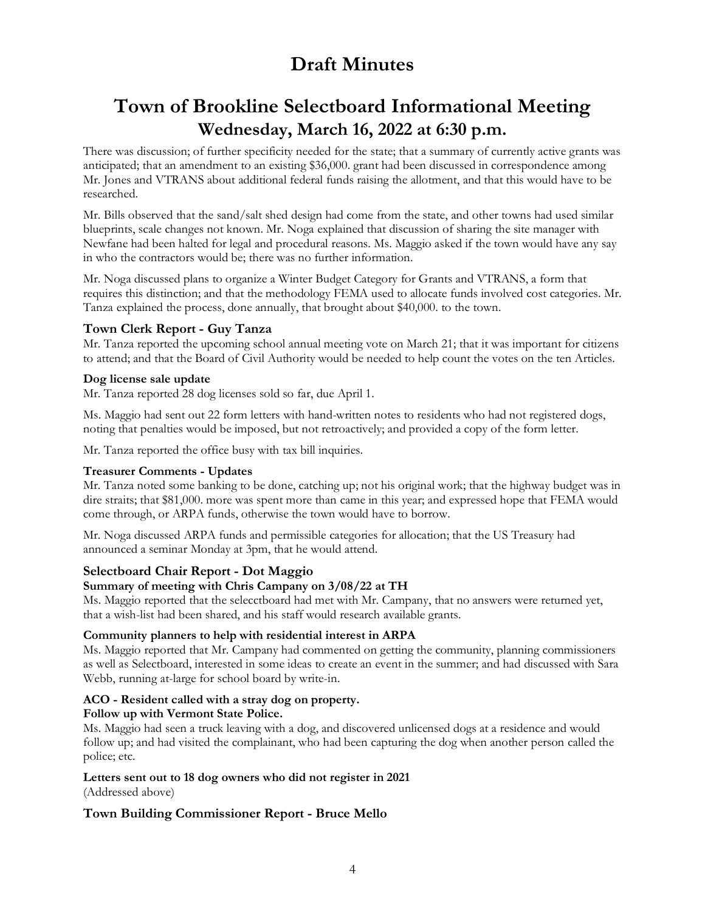# **Town of Brookline Selectboard Informational Meeting Wednesday, March 16, 2022 at 6:30 p.m.**

There was discussion; of further specificity needed for the state; that a summary of currently active grants was anticipated; that an amendment to an existing \$36,000. grant had been discussed in correspondence among Mr. Jones and VTRANS about additional federal funds raising the allotment, and that this would have to be researched.

Mr. Bills observed that the sand/salt shed design had come from the state, and other towns had used similar blueprints, scale changes not known. Mr. Noga explained that discussion of sharing the site manager with Newfane had been halted for legal and procedural reasons. Ms. Maggio asked if the town would have any say in who the contractors would be; there was no further information.

Mr. Noga discussed plans to organize a Winter Budget Category for Grants and VTRANS, a form that requires this distinction; and that the methodology FEMA used to allocate funds involved cost categories. Mr. Tanza explained the process, done annually, that brought about \$40,000. to the town.

### **Town Clerk Report - Guy Tanza**

Mr. Tanza reported the upcoming school annual meeting vote on March 21; that it was important for citizens to attend; and that the Board of Civil Authority would be needed to help count the votes on the ten Articles.

### **Dog license sale update**

Mr. Tanza reported 28 dog licenses sold so far, due April 1.

Ms. Maggio had sent out 22 form letters with hand-written notes to residents who had not registered dogs, noting that penalties would be imposed, but not retroactively; and provided a copy of the form letter.

Mr. Tanza reported the office busy with tax bill inquiries.

### **Treasurer Comments - Updates**

Mr. Tanza noted some banking to be done, catching up; not his original work; that the highway budget was in dire straits; that \$81,000. more was spent more than came in this year; and expressed hope that FEMA would come through, or ARPA funds, otherwise the town would have to borrow.

Mr. Noga discussed ARPA funds and permissible categories for allocation; that the US Treasury had announced a seminar Monday at 3pm, that he would attend.

### **Selectboard Chair Report - Dot Maggio**

### **Summary of meeting with Chris Campany on 3/08/22 at TH**

Ms. Maggio reported that the selecctboard had met with Mr. Campany, that no answers were returned yet, that a wish-list had been shared, and his staff would research available grants.

### **Community planners to help with residential interest in ARPA**

Ms. Maggio reported that Mr. Campany had commented on getting the community, planning commissioners as well as Selectboard, interested in some ideas to create an event in the summer; and had discussed with Sara Webb, running at-large for school board by write-in.

## **ACO - Resident called with a stray dog on property.**

### **Follow up with Vermont State Police.**

Ms. Maggio had seen a truck leaving with a dog, and discovered unlicensed dogs at a residence and would follow up; and had visited the complainant, who had been capturing the dog when another person called the police; etc.

#### **Letters sent out to 18 dog owners who did not register in 2021**  (Addressed above)

### **Town Building Commissioner Report - Bruce Mello**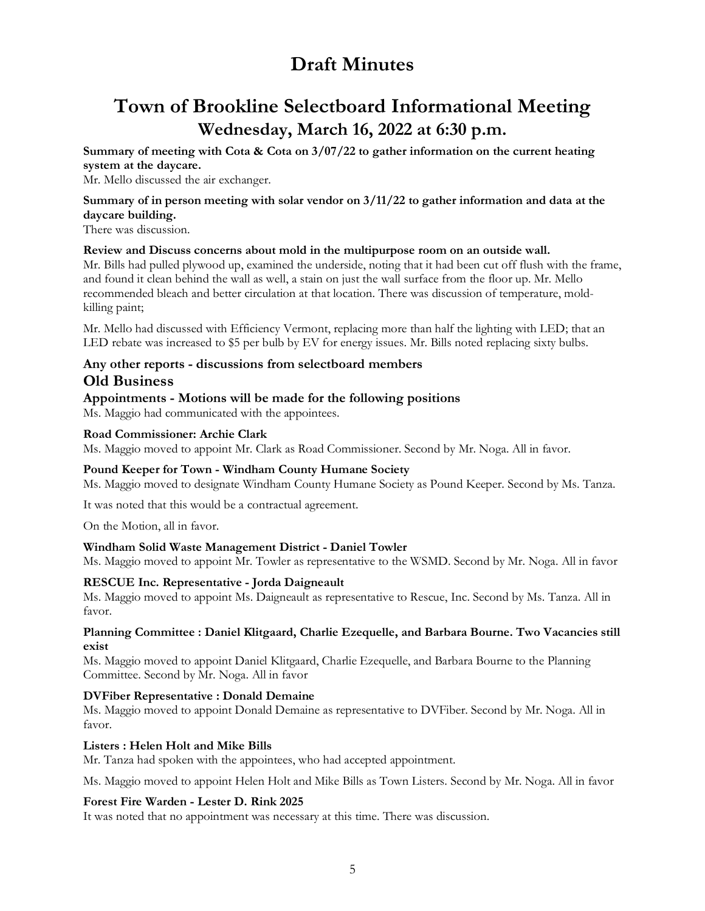# **Town of Brookline Selectboard Informational Meeting Wednesday, March 16, 2022 at 6:30 p.m.**

**Summary of meeting with Cota & Cota on 3/07/22 to gather information on the current heating system at the daycare.** 

Mr. Mello discussed the air exchanger.

### **Summary of in person meeting with solar vendor on 3/11/22 to gather information and data at the daycare building.**

There was discussion.

### **Review and Discuss concerns about mold in the multipurpose room on an outside wall.**

Mr. Bills had pulled plywood up, examined the underside, noting that it had been cut off flush with the frame, and found it clean behind the wall as well, a stain on just the wall surface from the floor up. Mr. Mello recommended bleach and better circulation at that location. There was discussion of temperature, moldkilling paint;

Mr. Mello had discussed with Efficiency Vermont, replacing more than half the lighting with LED; that an LED rebate was increased to \$5 per bulb by EV for energy issues. Mr. Bills noted replacing sixty bulbs.

### **Any other reports - discussions from selectboard members Old Business**

### **Appointments - Motions will be made for the following positions**

Ms. Maggio had communicated with the appointees.

### **Road Commissioner: Archie Clark**

Ms. Maggio moved to appoint Mr. Clark as Road Commissioner. Second by Mr. Noga. All in favor.

### **Pound Keeper for Town - Windham County Humane Society**

Ms. Maggio moved to designate Windham County Humane Society as Pound Keeper. Second by Ms. Tanza.

It was noted that this would be a contractual agreement.

On the Motion, all in favor.

### **Windham Solid Waste Management District - Daniel Towler**

Ms. Maggio moved to appoint Mr. Towler as representative to the WSMD. Second by Mr. Noga. All in favor

### **RESCUE Inc. Representative - Jorda Daigneault**

Ms. Maggio moved to appoint Ms. Daigneault as representative to Rescue, Inc. Second by Ms. Tanza. All in favor.

#### **Planning Committee : Daniel Klitgaard, Charlie Ezequelle, and Barbara Bourne. Two Vacancies still exist**

Ms. Maggio moved to appoint Daniel Klitgaard, Charlie Ezequelle, and Barbara Bourne to the Planning Committee. Second by Mr. Noga. All in favor

### **DVFiber Representative : Donald Demaine**

Ms. Maggio moved to appoint Donald Demaine as representative to DVFiber. Second by Mr. Noga. All in favor.

### **Listers : Helen Holt and Mike Bills**

Mr. Tanza had spoken with the appointees, who had accepted appointment.

Ms. Maggio moved to appoint Helen Holt and Mike Bills as Town Listers. Second by Mr. Noga. All in favor

### **Forest Fire Warden - Lester D. Rink 2025**

It was noted that no appointment was necessary at this time. There was discussion.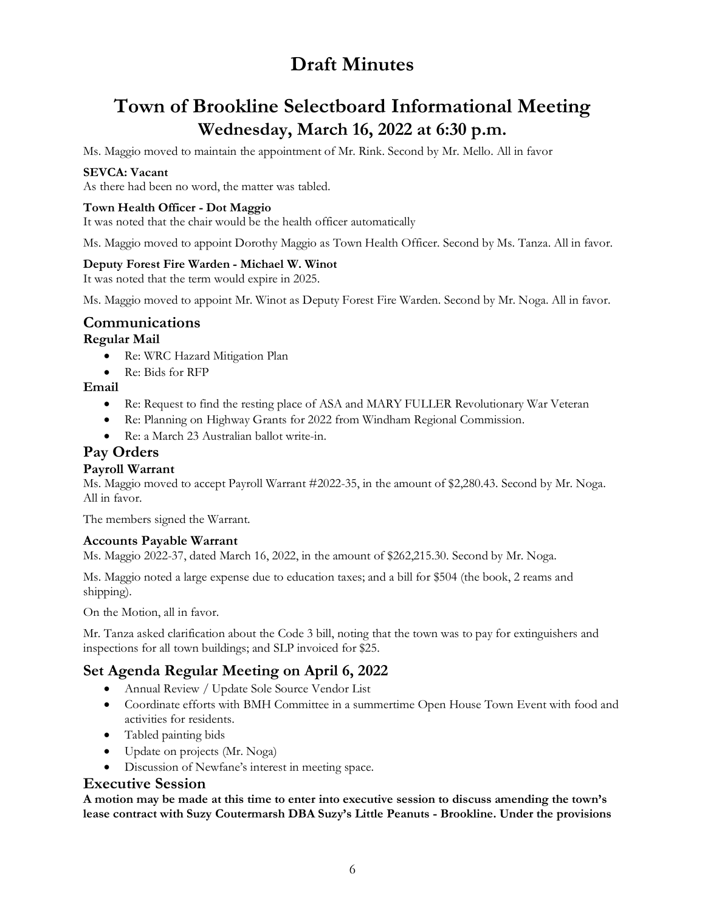# **Town of Brookline Selectboard Informational Meeting Wednesday, March 16, 2022 at 6:30 p.m.**

Ms. Maggio moved to maintain the appointment of Mr. Rink. Second by Mr. Mello. All in favor

### **SEVCA: Vacant**

As there had been no word, the matter was tabled.

### **Town Health Officer - Dot Maggio**

It was noted that the chair would be the health officer automatically

Ms. Maggio moved to appoint Dorothy Maggio as Town Health Officer. Second by Ms. Tanza. All in favor.

### **Deputy Forest Fire Warden - Michael W. Winot**

It was noted that the term would expire in 2025.

Ms. Maggio moved to appoint Mr. Winot as Deputy Forest Fire Warden. Second by Mr. Noga. All in favor.

# **Communications**

### **Regular Mail**

- Re: WRC Hazard Mitigation Plan
- Re: Bids for RFP

### **Email**

- Re: Request to find the resting place of ASA and MARY FULLER Revolutionary War Veteran
- Re: Planning on Highway Grants for 2022 from Windham Regional Commission.
- Re: a March 23 Australian ballot write-in.

## **Pay Orders**

### **Payroll Warrant**

Ms. Maggio moved to accept Payroll Warrant #2022-35, in the amount of \$2,280.43. Second by Mr. Noga. All in favor.

The members signed the Warrant.

### **Accounts Payable Warrant**

Ms. Maggio 2022-37, dated March 16, 2022, in the amount of \$262,215.30. Second by Mr. Noga.

Ms. Maggio noted a large expense due to education taxes; and a bill for \$504 (the book, 2 reams and shipping).

On the Motion, all in favor.

Mr. Tanza asked clarification about the Code 3 bill, noting that the town was to pay for extinguishers and inspections for all town buildings; and SLP invoiced for \$25.

## **Set Agenda Regular Meeting on April 6, 2022**

- Annual Review / Update Sole Source Vendor List
- Coordinate efforts with BMH Committee in a summertime Open House Town Event with food and activities for residents.
- Tabled painting bids
- Update on projects (Mr. Noga)
- Discussion of Newfane's interest in meeting space.

### **Executive Session**

**A motion may be made at this time to enter into executive session to discuss amending the town's lease contract with Suzy Coutermarsh DBA Suzy's Little Peanuts - Brookline. Under the provisions**